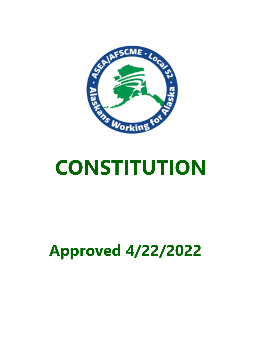

# **Approved 4/22/2022**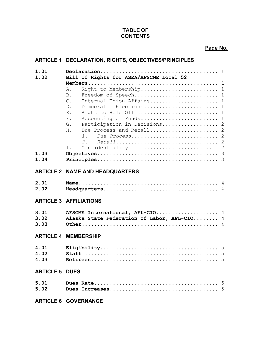## **TABLE OF CONTENTS**

**Page No.**

## **ARTICLE 1 DECLARATION, RIGHTS, OBJECTIVES/PRINCIPLES**

| 1.01<br>1.02          | Bill of Rights for ASEA/AFSCME Local 52                                                                                                                                                                                                                                                                                                |
|-----------------------|----------------------------------------------------------------------------------------------------------------------------------------------------------------------------------------------------------------------------------------------------------------------------------------------------------------------------------------|
| 1.03<br>1.04          | Right to Membership 1<br>$A$ .<br>Freedom of Speech 1<br><b>B</b> .<br>Internal Union Affairs 1<br>$\mathsf{C}$ .<br>Democratic Elections 1<br>$D$ .<br>Right to Hold Office 1<br>Ε.<br>Accounting of Funds 1<br>$F$ .<br>Participation in Decisions 2<br>G.<br>Due Process and Recall 2<br>Η.<br>1.<br>2.<br>Confidentiality  2<br>Ι. |
|                       | <b>ARTICLE 2 NAME AND HEADQUARTERS</b>                                                                                                                                                                                                                                                                                                 |
| 2.01<br>2.02          |                                                                                                                                                                                                                                                                                                                                        |
|                       | <b>ARTICLE 3 AFFILIATIONS</b>                                                                                                                                                                                                                                                                                                          |
| 3.01<br>3.02<br>3.03  | AFSCME International, AFL-CIO 4<br>Alaska State Federation of Labor, AFL-CIO 4                                                                                                                                                                                                                                                         |
|                       | <b>ARTICLE 4 MEMBERSHIP</b>                                                                                                                                                                                                                                                                                                            |
| 4.01<br>4.02<br>4.03  |                                                                                                                                                                                                                                                                                                                                        |
| <b>ARTICLE 5 DUES</b> |                                                                                                                                                                                                                                                                                                                                        |
| 5.01<br>5.02          | 5                                                                                                                                                                                                                                                                                                                                      |
|                       | <b>ARTICLE 6 GOVERNANCE</b>                                                                                                                                                                                                                                                                                                            |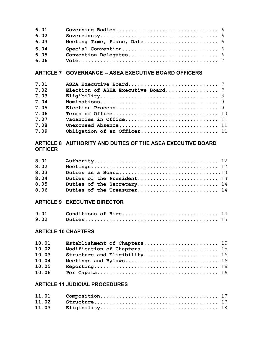| 6.01 |  |
|------|--|
| 6.02 |  |
| 6.03 |  |
| 6.04 |  |
| 6.05 |  |
| 6.06 |  |

## **ARTICLE 7 GOVERNANCE -- ASEA EXECUTIVE BOARD OFFICERS**

| 7.01 |                             |
|------|-----------------------------|
| 7.02 |                             |
| 7.03 |                             |
| 7.04 |                             |
| 7.05 |                             |
| 7.06 |                             |
| 7.07 | Vacancies in Office 11      |
| 7.08 |                             |
| 7.09 | Obligation of an Officer 11 |

## **ARTICLE 8 AUTHORITY AND DUTIES OF THE ASEA EXECUTIVE BOARD OFFICER**

| 8.01 |                            |
|------|----------------------------|
| 8.02 |                            |
| 8.03 |                            |
| 8.04 |                            |
| 8.05 | Duties of the Secretary 14 |
| 8.06 | Duties of the Treasurer 14 |

## **ARTICLE 9 EXECUTIVE DIRECTOR**

| 9.01 |  |
|------|--|
| 9.02 |  |

## **ARTICLE 10 CHAPTERS**

| 10.01 | Establishment of Chapters 15 |  |
|-------|------------------------------|--|
| 10.02 | Modification of Chapters 15  |  |
| 10.03 | Structure and Eligibility 16 |  |
| 10.04 |                              |  |
| 10.05 |                              |  |
| 10.06 |                              |  |

## **ARTICLE 11 JUDICIAL PROCEDURES**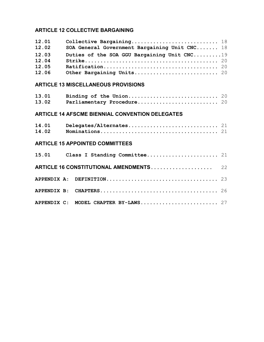## **ARTICLE 12 COLLECTIVE BARGAINING**

| 12.01 |                                               |
|-------|-----------------------------------------------|
| 12.02 | SOA General Government Bargaining Unit CNC 18 |
| 12.03 | Duties of the SOA GGU Bargaining Unit CNC19   |
| 12.04 |                                               |
| 12.05 |                                               |
| 12.06 |                                               |

## **ARTICLE 13 MISCELLANEOUS PROVISIONS**

| 13.02 Parliamentary Procedure 20 |  |
|----------------------------------|--|

## **ARTICLE 14 AFSCME BIENNIAL CONVENTION DELEGATES**

## **ARTICLE 15 APPOINTED COMMITTEES**

| APPENDIX C: MODEL CHAPTER BY-LAWS 27 |  |
|--------------------------------------|--|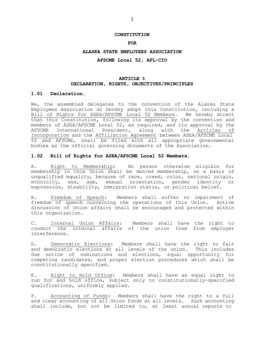#### **CONSTITUTION**

#### **FOR**

#### **ALASKA STATE EMPLOYEES ASSOCIATION**

#### **AFSCME Local 52, AFL-CIO**

#### **ARTICLE 1 DECLARATION, RIGHTS, OBJECTIVES/PRINCIPLES**

#### **1.01 Declaration.**

We, the assembled delegates to the convention of the Alaska State Employees Association do hereby adopt this Constitution, including a Bill of Rights for ASEA/AFSCME Local 52 Members. We hereby direct that this Constitution, following its approval by the convention and members of ASEA/AFSCME Local 52, as required, and its approval by the AFSCME International President, along with the Articles of Incorporation and the Affiliation Agreement between ASEA/AFSCME Local 52 and AFSCME, shall be filed with all appropriate governmental bodies as the official governing documents of the Association.

#### **1.02 Bill of Rights for ASEA/AFSCME Local 52 Members.**

A. Right to Membership: No person otherwise eligible for membership in this Union shall be denied membership, on a basis of unqualified equality, because of race, creed, color, national origin, ethnicity, sex, age, sexual orientation, gender identity or expression, disability, immigration status, or political belief.

B. Freedom of Speech: Members shall suffer no impairment of freedom of speech concerning the operations of this Union. Active discussion of Union affairs shall be encouraged and protected within this organization.

C. Internal Union Affairs: Members shall have the right to conduct the internal affairs of the union free from employer interference.

D. Democratic Elections: Members shall have the right to fair and democratic elections at all levels of the union. This includes due notice of nominations and elections, equal opportunity for competing candidates, and proper election procedures which shall be constitutionally specified.

E. Right to Hold Office: Members shall have an equal right to run for and hold office, subject only to constitutionally-specified qualifications, uniformly applied.

F. Accounting of Funds: Members shall have the right to a full and clear accounting of all Union funds at all levels. Such accounting shall include, but not be limited to, at least annual reports to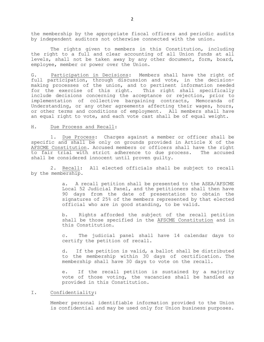the membership by the appropriate fiscal officers and periodic audits by independent auditors not otherwise connected with the union.

The rights given to members in this Constitution, including the right to a full and clear accounting of all Union funds at all levels, shall not be taken away by any other document, form, board, employee, member or power over the Union.

G. Participation in Decisions: Members shall have the right of full participation, through discussion and vote, in the decisionmaking processes of the union, and to pertinent information needed for the exercise of this right. This right shall specifically include decisions concerning the acceptance or rejection, prior to implementation of collective bargaining contracts, Memoranda of Understanding, or any other agreements affecting their wages, hours, or other terms and conditions of employment. All members shall have an equal right to vote, and each vote cast shall be of equal weight.

#### H. Due Process and Recall:

1. Due Process: Charges against a member or officer shall be specific and shall be only on grounds provided in Article X of the AFSCME Constitution. Accused members or officers shall have the right to fair trial with strict adherence to due process. The accused shall be considered innocent until proven guilty.

2. Recall: All elected officials shall be subject to recall by the membership.

> a. A recall petition shall be presented to the ASEA/AFSCME Local 52 Judicial Panel, and the petitioners shall then have 90 days from the date of presentation to obtain the signatures of 25% of the members represented by that elected official who are in good standing, to be valid.

> b. Rights afforded the subject of the recall petition shall be those specified in the AFSCME Constitution and in this Constitution.

> c. The judicial panel shall have 14 calendar days to certify the petition of recall.

> d. If the petition is valid, a ballot shall be distributed to the membership within 30 days of certification. The membership shall have 30 days to vote on the recall.

> e. If the recall petition is sustained by a majority vote of those voting, the vacancies shall be handled as provided in this Constitution.

#### I. Confidentiality:

Member personal identifiable information provided to the Union is confidential and may be used only for Union business purposes.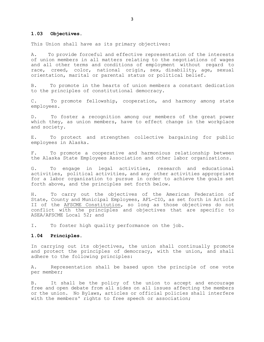#### **1.03 Objectives.**

This Union shall have as its primary objectives:

A. To provide forceful and effective representation of the interests of union members in all matters relating to the negotiations of wages and all other terms and conditions of employment without regard to race, creed, color, national origin, sex, disability, age, sexual orientation, marital or parental status or political belief.

B. To promote in the hearts of union members a constant dedication to the principles of constitutional democracy.

C. To promote fellowship, cooperation, and harmony among state employees.

D. To foster a recognition among our members of the great power which they, as union members, have to effect change in the workplace and society.

E. To protect and strengthen collective bargaining for public employees in Alaska.

F. To promote a cooperative and harmonious relationship between the Alaska State Employees Association and other labor organizations.

G. To engage in legal activities, research and educational activities, political activities, and any other activities appropriate for a labor organization to pursue in order to achieve the goals set forth above, and the principles set forth below.

H. To carry out the objectives of the American Federation of State, County and Municipal Employees, AFL-CIO, as set forth in Article II of the AFSCME Constitution, so long as those objectives do not conflict with the principles and objectives that are specific to ASEA/AFSCME Local 52; and

I. To foster high quality performance on the job.

#### **1.04 Principles.**

In carrying out its objectives, the union shall continually promote and protect the principles of democracy, with the union, and shall adhere to the following principles:

A. Representation shall be based upon the principle of one vote per member;

B. It shall be the policy of the union to accept and encourage free and open debate from all sides on all issues affecting the members or the union. No Bylaws, articles or official policies shall interfere with the members' rights to free speech or association;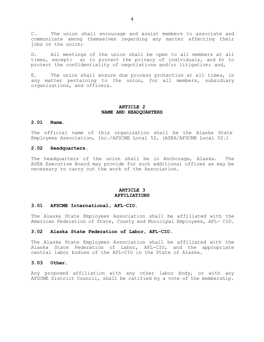C. The union shall encourage and assist members to associate and communicate among themselves regarding any matter affecting their jobs or the union;

D. All meetings of the union shall be open to all members at all times, except: a) to protect the privacy of individuals, and b) to protect the confidentiality of negotiations and/or litigation; and,

E. The union shall ensure due process protection at all times, in any matter pertaining to the union, for all members, subsidiary organizations, and officers.

### **ARTICLE 2 NAME AND HEADQUARTERS**

#### **2.01 Name.**

The official name of this organization shall be the Alaska State Employees Association, Inc./AFSCME Local 52, (ASEA/AFSCME Local 52.)

#### **2.02 Headquarters.**

The headquarters of the union shall be in Anchorage, Alaska. The ASEA Executive Board may provide for such additional offices as may be necessary to carry out the work of the Association.

#### **ARTICLE 3 AFFILIATIONS**

#### **3.01 AFSCME International, AFL-CIO.**

The Alaska State Employees Association shall be affiliated with the American Federation of State, County and Municipal Employees, AFL- CIO.

#### **3.02 Alaska State Federation of Labor, AFL-CIO.**

The Alaska State Employees Association shall be affiliated with the Alaska State Federation of Labor, AFL-CIO, and the appropriate central labor bodies of the AFL-CIO in the State of Alaska.

#### **3.03 Other.**

Any proposed affiliation with any other labor body, or with any AFSCME District Council, shall be ratified by a vote of the membership.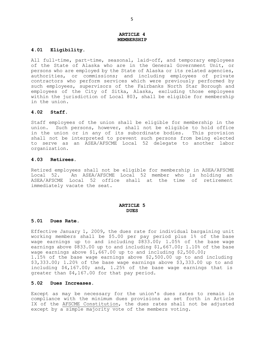#### **ARTICLE 4 MEMBERSHIP**

#### **4.01 Eligibility.**

All full-time, part-time, seasonal, laid-off, and temporary employees of the State of Alaska who are in the General Government Unit, or persons who are employed by the State of Alaska or its related agencies, authorities, or commissions; and including employees of private contractors who perform services which were previously performed by such employees, supervisors of the Fairbanks North Star Borough and employees of the City of Sitka, Alaska, excluding those employees within the jurisdiction of Local 803, shall be eligible for membership in the union.

#### **4.02 Staff.**

Staff employees of the union shall be eligible for membership in the union. Such persons, however, shall not be eligible to hold office in the union or in any of its subordinate bodies. This provision shall not be interpreted to prevent such persons from being elected to serve as an ASEA/AFSCME Local 52 delegate to another labor organization.

#### **4.03 Retirees.**

Retired employees shall not be eligible for membership in ASEA/AFSCME Local 52. An ASEA/AFSCME Local 52 member who is holding an ASEA/AFSCME Local 52 office shall at the time of retirement immediately vacate the seat.

#### **ARTICLE 5 DUES**

#### **5.01 Dues Rate.**

Effective January 1, 2009, the dues rate for individual bargaining unit working members shall be \$5.00 per pay period plus 1% of the base wage earnings up to and including \$833.00; 1.05% of the base wage earnings above \$833.00 up to and including \$1,667.00; 1.10% of the base wage earnings above \$1,667.00 up to and including \$2,500.00; 1.15% of the base wage earnings above \$2,500.00 up to and including \$3,333.00; 1.20% of the base wage earnings above \$3,333.00 up to and including \$4,167.00; and, 1.25% of the base wage earnings that is greater than \$4,167.00 for that pay period.

#### **5.02 Dues Increases.**

Except as may be necessary for the union's dues rates to remain in compliance with the minimum dues provisions as set forth in Article IX of the AFSCME Constitution, the dues rates shall not be adjusted except by a simple majority vote of the members voting.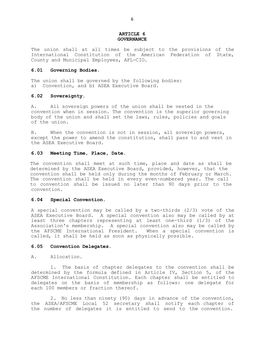#### **ARTICLE 6 GOVERNANCE**

The union shall at all times be subject to the provisions of the International Constitution of the American Federation of State, County and Municipal Employees, AFL-CIO.

#### **6.01 Governing Bodies.**

The union shall be governed by the following bodies: a) Convention, and b) ASEA Executive Board.

#### **6.02 Sovereignty.**

A. All sovereign powers of the union shall be vested in the convention when in session. The convention is the superior governing body of the union and shall set the laws, rules, policies and goals of the union.

B. When the convention is not in session, all sovereign powers, except the power to amend the constitution, shall pass to and vest in the ASEA Executive Board.

#### **6.03 Meeting Time, Place, Date.**

The convention shall meet at such time, place and date as shall be determined by the ASEA Executive Board, provided, however, that the convention shall be held only during the months of February or March. The convention shall be held in every even-numbered year. The call to convention shall be issued no later than 90 days prior to the convention.

#### **6.04 Special Convention.**

A special convention may be called by a two-thirds (2/3) vote of the ASEA Executive Board. A special convention also may be called by at least three chapters representing at least one-third (1/3) of the Association's membership. A special convention also may be called by the AFSCME International President. When a special convention is called, it shall be held as soon as physically possible.

#### **6.05 Convention Delegates.**

#### A. Allocation.

1. The basis of chapter delegates to the convention shall be determined by the formula defined in Article IV, Section 5, of the AFSCME International Constitution. Each chapter shall be entitled to delegates on the basis of membership as follows: one delegate for each 100 members or fraction thereof.

2. No less than ninety (90) days in advance of the convention, the ASEA/AFSCME Local 52 secretary shall notify each chapter of the number of delegates it is entitled to send to the convention.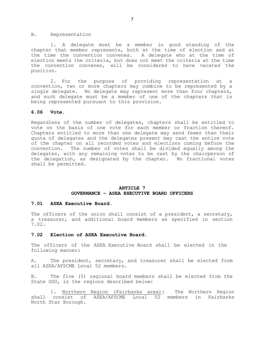#### B. Representation

1. A delegate must be a member in good standing of the chapter that member represents, both at the time of election and at the time the convention convenes. A delegate who at the time of election meets the criteria, but does not meet the criteria at the time the convention convenes, will be considered to have vacated the position.

2. For the purpose of providing representation at a convention, two or more chapters may combine to be represented by a single delegate. No delegate may represent more than four chapters, and such delegate must be a member of one of the chapters that is being represented pursuant to this provision.

#### **6.06 Vote.**

Regardless of the number of delegates, chapters shall be entitled to vote on the basis of one vote for each member or fraction thereof. Chapters entitled to more than one delegate may send fewer than their quota of delegates and the delegates present may cast the entire vote of the chapter on all recorded votes and elections coming before the convention. The number of votes shall be divided equally among the delegates, with any remaining votes to be cast by the chairperson of the delegation, as designated by the chapter. No fractional votes shall be permitted.

#### **ARTICLE 7 GOVERNANCE – ASEA EXECUTIVE BOARD OFFICERS**

#### **7.01 ASEA Executive Board.**

The officers of the union shall consist of a president, a secretary, a treasurer, and additional board members as specified in section 7.02.

#### **7.02 Election of ASEA Executive Board.**

The officers of the ASEA Executive Board shall be elected in the following manner:

A. The president, secretary, and treasurer shall be elected from all ASEA/AFSCME Local 52 members.

B. The five (5) regional board members shall be elected from the State GGU, in the regions described below:

1. Northern Region (Fairbanks area): The Northern Region shall consist of ASEA/AFSCME Local 52 members in Fairbanks North Star Borough.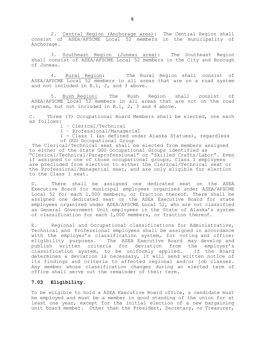2. Central Region (Anchorage area): The Central Region shall consist of ASEA/AFSCME Local 52 members in the municipality of Anchorage.

3. Southeast Region (Juneau area): The Southeast Region shall consist of ASEA/AFSCME Local 52 members in the City and Borough of Juneau.

4. Rural Region: The Rural Region shall consist of ASEA/AFSCME Local 52 members in all areas that are on a road system and not included in B.1, 2, and 3 above.

5. Bush Region: The Bush Region shall consist of ASEA/AFSCME Local 52 members in all areas that are not on the road system, but not included in B.1, 2, 3 and 4 above.

C. Three (3) Occupational Board Members shall be elected, one each as follows:

1 – Clerical/Technical

1 – Professional/Managerial

1 - Class I (as defined under Alaska Statues), regardless of GGU Occupational Group

The Clerical/Technical seat shall be elected from members assigned to either of the State GGU Occupational Groups identified as "Clerical/Technical/Paraprofessional" or "Skilled Crafts/Labor". Even if assigned to one of those occupational groups, Class I employees are precluded from election to either the Clerical/Technical seat or the Professional/Managerial seat, and are only eligible for election to the Class I seat.

D. There shall be assigned one dedicated seat on the ASEA Executive Board for municipal employees organized under ASEA/AFSCME Local 52 for each 1,000 members, or fraction thereof. There shall be assigned one dedicated seat on the ASEA Executive Board for state employees organized under ASEA/AFSCME Local 52, who are not classified as General Government Unit employees in the State of Alaska's system of classification for each 1,000 members, or fraction thereof.

E. Regional and Occupational classifications for Administrative, Technical and Professional employees shall be assigned in accordance with the employer's classification system, for voting and officer eligibility purposes. The ASEA Executive Board may develop and publish written criteria for deviation from the employer's classification system, to be uniformly applied. If the Board determines a deviation is necessary, it will send written notice of its findings and criteria to affected regional and/or job classes. Any member whose classification changes during an elected term of office shall serve out the remainder of their term.

#### **7.03 Eligibility.**

To be eligible to hold a ASEA Executive Board office, a candidate must be employed and must be a member in good standing of the union for at least one year, except for the initial election of a new bargaining unit board member. Other than the President, Secretary, or Treasurer,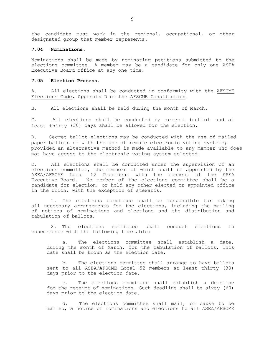the candidate must work in the regional, occupational, or other designated group that member represents.

#### **7.04 Nominations.**

Nominations shall be made by nominating petitions submitted to the elections committee. A member may be a candidate for only one ASEA Executive Board office at any one time.

#### **7.05 Election Process.**

A. All elections shall be conducted in conformity with the AFSCME Elections Code, Appendix D of the AFSCME Constitution.

B. All elections shall be held during the month of March.

C. All elections shall be conducted by secret ballot and at least thirty (30) days shall be allowed for the election.

D. Secret ballot elections may be conducted with the use of mailed paper ballots or with the use of remote electronic voting systems; provided an alternative method is made available to any member who does not have access to the electronic voting system selected.

E. All elections shall be conducted under the supervision of an elections committee, the members of which shall be appointed by the ASEA/AFSCME Local 52 President with the consent of the ASEA Executive Board. No member of the elections committee shall be a candidate for election, or hold any other elected or appointed office in the Union, with the exception of stewards.

1. The elections committee shall be responsible for making all necessary arrangements for the elections, including the mailing of notices of nominations and elections and the distribution and tabulation of ballots.

2. The elections committee shall conduct elections in concurrence with the following timetable:

a. The elections committee shall establish a date, during the month of March, for the tabulation of ballots. This date shall be known as the election date.

b. The elections committee shall arrange to have ballots sent to all ASEA/AFSCME Local 52 members at least thirty (30) days prior to the election date.

c. The elections committee shall establish a deadline for the receipt of nominations. Such deadline shall be sixty (60) days prior to the election date.

d. The elections committee shall mail, or cause to be mailed, a notice of nominations and elections to all ASEA/AFSCME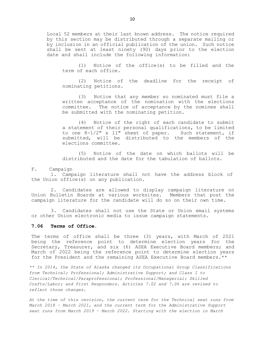Local 52 members at their last known address. The notice required by this section may be distributed through a separate mailing or by inclusion in an official publication of the union. Such notice shall be sent at least ninety (90) days prior to the election date and shall include the following information:

(1) Notice of the office(s) to be filled and the term of each office.

(2) Notice of the deadline for the receipt of nominating petitions.

(3) Notice that any member so nominated must file a written acceptance of the nomination with the elections committee. The notice of acceptance by the nominee shall be submitted with the nominating petition.

(4) Notice of the right of each candidate to submit a statement of their personal qualifications, to be limited to one 8-1/2" x 11" sheet of paper. Such statement, if submitted, will be distributed to the members of the elections committee.

(5) Notice of the date on which ballots will be distributed and the date for the tabulation of ballots.

#### F. Campaign

1. Campaign literature shall not have the address block of the Union office(s) on any publication.

2. Candidates are allowed to display campaign literature on Union Bulletin Boards at various worksites. Members that post the campaign literature for the candidate will do so on their own time.

3. Candidates shall not use the State or Union email systems or other Union electronic media to issue campaign statements.

#### **7.06 Terms of Office.**

The terms of office shall be three (3) years, with March of 2021 being the reference point to determine election years for the Secretary, Treasurer, and six (6) ASEA Executive Board members; and March of 2022 being the reference point to determine election years for the President and the remaining ASEA Executive Board members.\*\*

*\*\* In 2014, the State of Alaska changed its Occupational Group Classifications from Technical; Professional; Administrative Support; and Class I to Clerical/Technical/Paraprofessional; Professional/Managerial; Skilled Crafts/Labor; and First Responders. Articles 7.02 and 7.06 are revised to reflect those changes.*

*At the time of this revision, the current term for the Technical seat runs from March 2018 – March 2021, and the current term for the Administrative Support seat runs from March 2019 – March 2022. Starting with the election in March*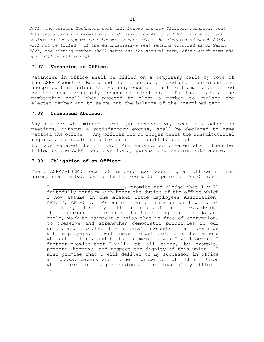*2021, the current Technical seat will become the new Clerical/Technical seat. Notwithstanding the provisions in Constitution Article 7.07, if the current Administrative Support seat becomes vacant after the election of March 2019, it will not be filled. If the Administrative seat remains occupied as of March 2021, the sitting member shall serve out the natural term, after which time the seat will be eliminated.*

#### **7.07 Vacancies in Office.**

Vacancies in office shall be filled on a temporary basis by vote of the ASEA Executive Board and the member so elected shall serve out the unexpired term unless the vacancy occurs in a time frame to be filled by the next regularly scheduled election. In that event, the membership shall then proceed to elect a member to replace the elected member and to serve out the balance of the unexpired term.

#### **7.08 Unexcused Absence.**

Any officer who misses three (3) consecutive, regularly scheduled meetings, without a satisfactory excuse, shall be declared to have vacated the office. Any officer who no longer meets the constitutional requirements established for an office shall be deemed to have vacated the office. Any vacancy so created shall then be filled by the ASEA Executive Board, pursuant to Section 7.07 above.

#### **7.09 Obligation of an Officer.**

Every ASEA/AFSCME Local 52 member, upon assuming an office in the union, shall subscribe to the following Obligation of An Officer:

I,  $\sqrt{I}$  , promise and pledge that I will faithfully perform with honor the duties of the office which I now assume in the Alaska State Employees Association, AFSCME, AFL-CIO. As an officer of this union I will, at all times, act solely in the interests of our members, devote the resources of our union to furthering their needs and goals, work to maintain a union that is free of corruption, to preserve and strengthen democratic principles in our union, and to protect the members' interests in all dealings with employers. I will never forget that it is the members who put me here, and it is the members who I will serve. I further promise that I will, at all times, by example, promote harmony and respect the dignity of this union. I also promise that I will deliver to my successor in office all books, papers and other property of this Union which are in my possession at the close of my official term.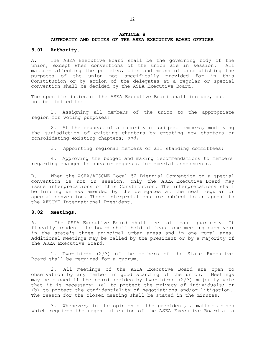#### **ARTICLE 8**

#### **AUTHORITY AND DUTIES OF THE ASEA EXECUTIVE BOARD OFFICER**

#### **8.01 Authority.**

A. The ASEA Executive Board shall be the governing body of the union, except when conventions of the union are in session. All matters affecting the policies, aims and means of accomplishing the purposes of the union not specifically provided for in this Constitution or by action of the delegates at a regular or special convention shall be decided by the ASEA Executive Board.

The specific duties of the ASEA Executive Board shall include, but not be limited to:

1. Assigning all members of the union to the appropriate region for voting purposes;

2. At the request of a majority of subject members, modifying the jurisdiction of existing chapters by creating new chapters or consolidating existing chapters; and,

3. Appointing regional members of all standing committees;

4. Approving the budget and making recommendations to members regarding changes to dues or requests for special assessments.

B. When the ASEA/AFSCME Local 52 Biennial Convention or a special convention is not in session, only the ASEA Executive Board may issue interpretations of this Constitution. The interpretations shall be binding unless amended by the delegates at the next regular or special convention. These interpretations are subject to an appeal to the AFSCME International President.

#### **8.02 Meetings.**

A. The ASEA Executive Board shall meet at least quarterly. If fiscally prudent the board shall hold at least one meeting each year in the state's three principal urban areas and in one rural area. Additional meetings may be called by the president or by a majority of the ASEA Executive Board.

1. Two-thirds (2/3) of the members of the State Executive Board shall be required for a quorum.

2. All meetings of the ASEA Executive Board are open to observation by any member in good standing of the union. Meetings may be closed if the board decides by two-thirds (2/3) majority vote that it is necessary: (a) to protect the privacy of individuals; or (b) to protect the confidentiality of negotiations and/or litigation. The reason for the closed meeting shall be stated in the minutes.

3. Whenever, in the opinion of the president, a matter arises which requires the urgent attention of the ASEA Executive Board at a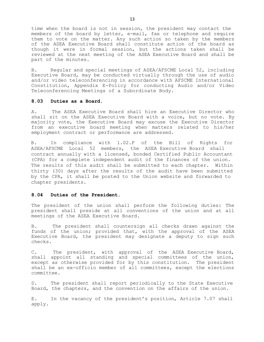time when the board is not in session, the president may contact the members of the board by letter, e-mail, fax or telephone and require them to vote on the matter. Any such action so taken by the members of the ASEA Executive Board shall constitute action of the board as though it were in formal session, but the actions taken shall be reviewed at the next meeting of the ASEA Executive Board and shall be part of the minutes.

B. Regular and special meetings of ASEA/AFSCME Local 52, including Executive Board, may be conducted virtually through the use of audio and/or video teleconferencing in accordance with AFSCME International Constitution, Appendix E-Policy for conducting Audio and/or Video Teleconferencing Meetings of a Subordinate Body.

#### **8.03 Duties as a Board.**

A. The ASEA Executive Board shall hire an Executive Director who shall sit on the ASEA Executive Board with a voice, but no vote. By majority vote, the Executive Board may excuse the Executive Director from an executive board meeting when matters related to his/her employment contract or performance are addressed.

B. In compliance with 1.02.F of the Bill of Rights for ASEA/AFSCME Local 52 members, the ASEA Executive Board shall contract annually with a licensed, bonded Certified Public Accountant (CPA) for a complete independent audit of the finances of the union. The results of this audit shall be submitted to each chapter. Within thirty (30) days after the results of the audit have been submitted by the CPA, it shall be posted to the Union website and forwarded to chapter presidents.

#### **8.04 Duties of the President.**

The president of the union shall perform the following duties: The president shall preside at all conventions of the union and at all meetings of the ASEA Executive Board.

B. The president shall countersign all checks drawn against the funds of the union; provided that, with the approval of the ASEA Executive Board, the president may designate a deputy to sign such checks.

C. The president, with approval of the ASEA Executive Board, shall appoint all standing and special committees of the union, except as otherwise provided for by this constitution. The president shall be an ex-officio member of all committees, except the elections committee.

D. The president shall report periodically to the State Executive Board, the chapters, and the convention on the affairs of the union.

E. In the vacancy of the president's position, Article 7.07 shall apply.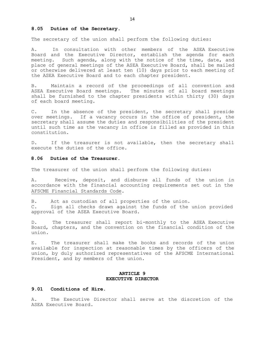#### **8.05 Duties of the Secretary.**

The secretary of the union shall perform the following duties:

A. In consultation with other members of the ASEA Executive Board and the Executive Director, establish the agenda for each meeting. Such agenda, along with the notice of the time, date, and place of general meetings of the ASEA Executive Board, shall be mailed or otherwise delivered at least ten (10) days prior to each meeting of the ASEA Executive Board and to each chapter president.

B. Maintain a record of the proceedings of all convention and ASEA Executive Board meetings. The minutes of all board meetings shall be furnished to the chapter presidents within thirty (30) days of each board meeting.

C. In the absence of the president, the secretary shall preside over meetings. If a vacancy occurs in the office of president, the secretary shall assume the duties and responsibilities of the president until such time as the vacancy in office is filled as provided in this constitution.

D. If the treasurer is not available, then the secretary shall execute the duties of the office.

#### **8.06 Duties of the Treasurer.**

The treasurer of the union shall perform the following duties:

A. Receive, deposit, and disburse all funds of the union in accordance with the financial accounting requirements set out in the AFSCME Financial Standards Code.

B. Act as custodian of all properties of the union.

C. Sign all checks drawn against the funds of the union provided approval of the ASEA Executive Board.

D. The treasurer shall report bi-monthly to the ASEA Executive Board, chapters, and the convention on the financial condition of the union.

E. The treasurer shall make the books and records of the union available for inspection at reasonable times by the officers of the union, by duly authorized representatives of the AFSCME International President, and by members of the union.

#### **ARTICLE 9 EXECUTIVE DIRECTOR**

#### **9.01 Conditions of Hire.**

A. The Executive Director shall serve at the discretion of the ASEA Executive Board.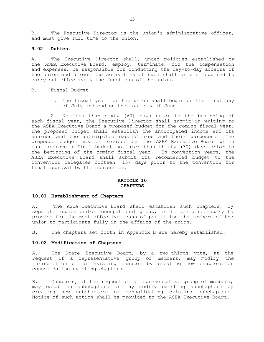B. The Executive Director is the union's administrative officer, and must give full time to the union.

#### **9.02 Duties.**

A. The Executive Director shall, under policies established by the ASEA Executive Board, employ, terminate, fix the compensation and expenses, be responsible for conducting the day-to-day affairs of the union and direct the activities of such staff as are required to carry out effectively the functions of the union.

- B. Fiscal Budget.
	- 1. The fiscal year for the union shall begin on the first day of July and end on the last day of June.

2. No less than sixty (60) days prior to the beginning of each fiscal year, the Executive Director shall submit in writing to the ASEA Executive Board a proposed budget for the coming fiscal year. The proposed budget shall establish the anticipated income and its sources and the anticipated expenditures and their purposes. The proposed budget may be revised by the ASEA Executive Board which must approve a final budget no later than thirty (30) days prior to the beginning of the coming fiscal year. In convention years, the ASEA Executive Board shall submit its recommended budget to the convention delegates fifteen (15) days prior to the convention for final approval by the convention.

#### **ARTICLE 10 CHAPTERS**

#### **10.01 Establishment of Chapters.**

A. The ASEA Executive Board shall establish such chapters, by separate region and/or occupational group, as it deems necessary to provide for the most effective means of permitting the members of the union to participate fully in the affairs of the union.

B. The chapters set forth in Appendix B are hereby established.

#### **10.02 Modification of Chapters.**

A. The State Executive Board, by a two-thirds vote, at the request of a representative group of members, may modify the jurisdiction of an existing chapter by creating new chapters or consolidating existing chapters.

B. Chapters, at the request of a representative group of members, may establish subchapters or may modify existing subchapters by creating new subchapters or consolidating existing subchapters. Notice of such action shall be provided to the ASEA Executive Board.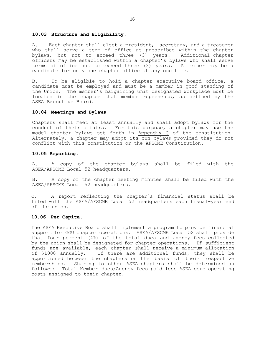#### **10.03 Structure and Eligibility.**

A. Each chapter shall elect a president, secretary, and a treasurer who shall serve a term of office as prescribed within the chapter bylaws, but not to exceed three (3) years. Additional chapter officers may be established within a chapter's bylaws who shall serve terms of office not to exceed three (3) years. A member may be a candidate for only one chapter office at any one time.

B. To be eligible to hold a chapter executive board office, a candidate must be employed and must be a member in good standing of the Union. The member's bargaining unit designated workplace must be located in the chapter that member represents, as defined by the ASEA Executive Board.

#### **10.04 Meetings and Bylaws**

Chapters shall meet at least annually and shall adopt bylaws for the conduct of their affairs. For this purpose, a chapter may use the model chapter bylaws set forth in Appendix C of the constitution. Alternately, a chapter may adopt its own bylaws provided they do not conflict with this constitution or the AFSCME Constitution.

#### **10.05 Reporting.**

A. A copy of the chapter bylaws shall be filed with the ASEA/AFSCME Local 52 headquarters.

B. A copy of the chapter meeting minutes shall be filed with the ASEA/AFSCME Local 52 headquarters.

C. A report reflecting the chapter's financial status shall be filed with the ASEA/AFSCME Local 52 headquarters each fiscal-year end of the union.

### **10.06 Per Capita.**

The ASEA Executive Board shall implement a program to provide financial support for GGU chapter operations. ASEA/AFSCME Local 52 shall provide that four percent (4%) of the total dues and agency fees collected by the union shall be designated for chapter operations. If sufficient funds are available, each chapter shall receive a minimum allocation of \$1000 annually. If there are additional funds, they shall be apportioned between the chapters on the basis of their respective memberships. Sharing to other ASEA chapters shall be determined as follows: Total Member dues/Agency fees paid less ASEA core operating costs assigned to their chapter.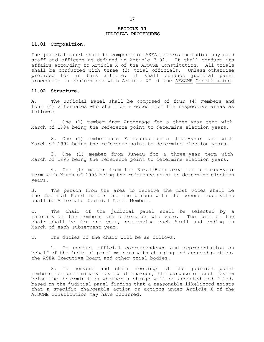#### **ARTICLE 11 JUDICIAL PROCEDURES**

#### **11.01 Composition.**

The judicial panel shall be composed of ASEA members excluding any paid staff and officers as defined in Article 7.01. It shall conduct its affairs according to Article X of the AFSCME Constitution. All trials shall be conducted with three (3) trial officials. Unless otherwise provided for in this article, it shall conduct judicial panel procedures in conformance with Article XI of the AFSCME Constitution.

#### **11.02 Structure.**

A. The Judicial Panel shall be composed of four (4) members and four (4) alternates who shall be elected from the respective areas as follows:

1. One (1) member from Anchorage for a three-year term with March of 1994 being the reference point to determine election years.

2. One (1) member from Fairbanks for a three-year term with March of 1994 being the reference point to determine election years.

3. One (1) member from Juneau for a three-year term with March of 1995 being the reference point to determine election years.

4. One (1) member from the Rural/Bush area for a three-year term with March of 1995 being the reference point to determine election years.

B. The person from the area to receive the most votes shall be the Judicial Panel member and the person with the second most votes shall be Alternate Judicial Panel Member.

C. The chair of the judicial panel shall be selected by a majority of the members and alternates who vote. The term of the chair shall be for one year, commencing each April and ending in March of each subsequent year.

D. The duties of the chair will be as follows:

1. To conduct official correspondence and representation on behalf of the judicial panel members with charging and accused parties, the ASEA Executive Board and other trial bodies.

2. To convene and chair meetings of the judicial panel members for preliminary review of charges, the purpose of such review being the determination whether a charge will be accepted and filed, based on the judicial panel finding that a reasonable likelihood exists that a specific chargeable action or actions under Article X of the AFSCME Constitution may have occurred.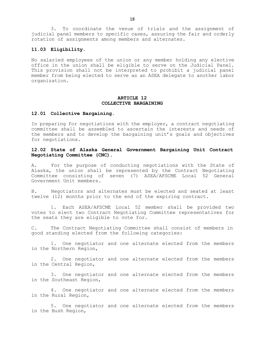3. To coordinate the venue of trials and the assignment of iudicial panel members to specific cases, assuring the fair and orderly rotation of assignments among members and alternates.

### **11.03 Eligibility.**

No salaried employees of the union or any member holding any elective office in the union shall be eligible to serve on the Judicial Panel. This provision shall not be interpreted to prohibit a judicial panel member from being elected to serve as an ASEA delegate to another labor organization.

#### **ARTICLE 12 COLLECTIVE BARGAINING**

#### **12.01 Collective Bargaining.**

In preparing for negotiations with the employer, a contract negotiating committee shall be assembled to ascertain the interests and needs of the members and to develop the bargaining unit's goals and objectives for negotiations.

### **12.02 State of Alaska General Government Bargaining Unit Contract Negotiating Committee (CNC).**

A. For the purpose of conducting negotiations with the State of Alaska, the union shall be represented by the Contract Negotiating Committee consisting of seven (7) ASEA/AFSCME Local 52 General Government Unit members.

B. Negotiators and alternates must be elected and seated at least twelve (12) months prior to the end of the expiring contract.

1. Each ASEA/AFSCME Local 52 member shall be provided two votes to elect two Contract Negotiating Committee representatives for the seats they are eligible to vote for.

C. The Contract Negotiating Committee shall consist of members in good standing elected from the following categories:

1. One negotiator and one alternate elected from the members in the Northern Region,

2. One negotiator and one alternate elected from the members in the Central Region,

3. One negotiator and one alternate elected from the members in the Southeast Region,

4. One negotiator and one alternate elected from the members in the Rural Region,

5. One negotiator and one alternate elected from the members in the Bush Region,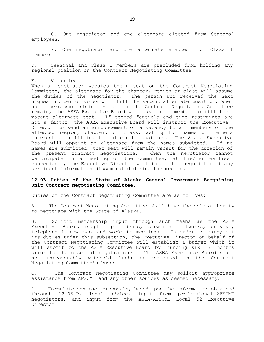6. One negotiator and one alternate elected from Seasonal employees,

7. One negotiator and one alternate elected from Class I members.

D. Seasonal and Class I members are precluded from holding any regional position on the Contract Negotiating Committee.

#### E. Vacancies

When a negotiator vacates their seat on the Contract Negotiating Committee, the alternate for the chapter, region or class will assume the duties of the negotiator. The person who received the next highest number of votes will fill the vacant alternate position. When no members who originally ran for the Contract Negotiating Committee remain, the ASEA Executive Board will appoint a member to fill the vacant alternate seat. If deemed feasible and time restraints are not a factor, the ASEA Executive Board will instruct the Executive Director to send an announcement of a vacancy to all members of the affected region, chapter, or class, asking for names of members interested in filling the alternate position. The State Executive Board will appoint an alternate from the names submitted. If no names are submitted, that seat will remain vacant for the duration of the present contract negotiations. When the negotiator cannot participate in a meeting of the committee, at his/her earliest convenience, the Executive Director will inform the negotiator of any pertinent information disseminated during the meeting.

#### **12.03 Duties of the State of Alaska General Government Bargaining Unit Contract Negotiating Committee.**

Duties of the Contract Negotiating Committee are as follows:

A. The Contract Negotiating Committee shall have the sole authority to negotiate with the State of Alaska.

B. Solicit membership input through such means as the ASEA Executive Board, chapter presidents, stewards' networks, surveys, telephone interviews, and worksite meetings. In order to carry out its duties under this subsection, the Executive Director on behalf of the Contract Negotiating Committee will establish a budget which it will submit to the ASEA Executive Board for funding six (6) months prior to the onset of negotiations. The ASEA Executive Board shall not unreasonably withhold funds as requested in the Contract Negotiating Committee's budget.

C. The Contract Negotiating Committee may solicit appropriate assistance from AFSCME and any other sources as deemed necessary.

D. Formulate contract proposals, based upon the information obtained through 12.03.B, legal advice, input from professional AFSCME negotiators, and input from the ASEA/AFSCME Local 52 Executive Director.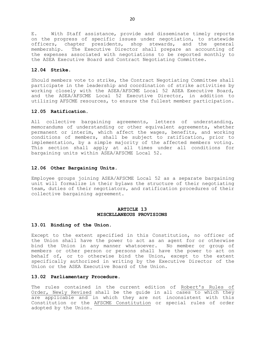E. With Staff assistance, provide and disseminate timely reports on the progress of specific issues under negotiation, to statewide officers, chapter presidents, shop stewards, and the general membership. The Executive Director shall prepare an accounting of the expenses associated with negotiations to be reported monthly to the ASEA Executive Board and Contract Negotiating Committee.

#### **12.04 Strike.**

Should members vote to strike, the Contract Negotiating Committee shall participate in the leadership and coordination of strike activities by working closely with the ASEA/AFSCME Local 52 ASEA Executive Board, and the ASEA/AFSCME Local 52 Executive Director, in addition to utilizing AFSCME resources, to ensure the fullest member participation.

#### **12.05 Ratification.**

All collective bargaining agreements, letters of understanding, memorandums of understanding or other equivalent agreements, whether permanent or interim, which affect the wages, benefits, and working conditions of members, shall be subject to ratification, prior to implementation, by a simple majority of the affected members voting. This section shall apply at all times under all conditions for bargaining units within ASEA/AFSCME Local 52.

#### **12.06 Other Bargaining Units.**

Employee groups joining ASEA/AFSCME Local 52 as a separate bargaining unit will formalize in their bylaws the structure of their negotiating team, duties of their negotiators, and ratification procedures of their collective bargaining agreement.

#### **ARTICLE 13 MISCELLANEOUS PROVISIONS**

#### **13.01 Binding of the Union.**

Except to the extent specified in this Constitution, no officer of the Union shall have the power to act as an agent for or otherwise bind the Union in any manner whatsoever. No member or group of members or other person or persons shall have the power to act on behalf of, or to otherwise bind the Union, except to the extent specifically authorized in writing by the Executive Director of the Union or the ASEA Executive Board of the Union.

#### **13.02 Parliamentary Procedure.**

The rules contained in the current edition of Robert's Rules of Order, Newly Revised shall be the guide in all cases to which they are applicable and in which they are not inconsistent with this Constitution or the AFSCME Constitution or special rules of order adopted by the Union.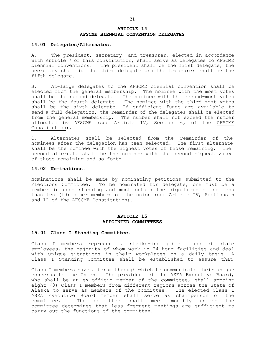#### **ARTICLE 14 AFSCME BIENNIAL CONVENTION DELEGATES**

#### **14.01 Delegates/Alternates.**

A. The president, secretary, and treasurer, elected in accordance with Article 7 of this constitution, shall serve as delegates to AFSCME biennial conventions. The president shall be the first delegate, the secretary shall be the third delegate and the treasurer shall be the fifth delegate.

B. At-large delegates to the AFSCME biennial convention shall be elected from the general membership. The nominee with the most votes shall be the second delegate. The nominee with the second-most votes shall be the fourth delegate. The nominee with the third-most votes shall be the sixth delegate. If sufficient funds are available to send a full delegation, the remainder of the delegates shall be elected from the general membership. The number shall not exceed the number allocated by AFSCME (see Article IV, Section 6, of the AFSCME Constitution).

C. Alternates shall be selected from the remainder of the nominees after the delegation has been selected. The first alternate shall be the nominee with the highest votes of those remaining. The second alternate shall be the nominee with the second highest votes of those remaining and so forth.

#### **14.02 Nominations.**

Nominations shall be made by nominating petitions submitted to the Elections Committee. To be nominated for delegate, one must be a member in good standing and must obtain the signatures of no less than ten (10) other members of the union (see Article IV, Sections 5 and 12 of the AFSCME Constitution).

#### **ARTICLE 15 APPOINTED COMMITTEES**

#### **15.01 Class I Standing Committee**.

Class I members represent a strike-ineligible class of state employees, the majority of whom work in 24-hour facilities and deal with unique situations in their workplaces on a daily basis. A Class I Standing Committee shall be established to assure that

Class I members have a forum through which to communicate their unique concerns to the Union. The president of the ASEA Executive Board, who shall be an ex-officio member of the committee, shall appoint eight (8) Class I members from different regions across the State of Alaska to serve as members of the committee. The elected Class I ASEA Executive Board member shall serve as chairperson of the committee. The committee shall meet monthly unless the committee determines that less frequent meetings are sufficient to carry out the functions of the committee.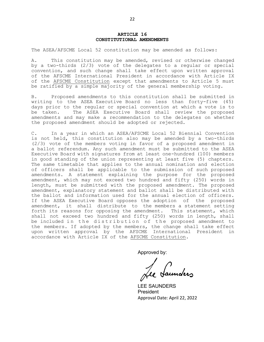#### **ARTICLE 16 CONSTITUTIONAL AMENDMENTS**

The ASEA/AFSCME Local 52 constitution may be amended as follows:

A. This constitution may be amended, revised or otherwise changed by a two-thirds (2/3) vote of the delegates to a regular or special convention, and such change shall take effect upon written approval of the AFSCME International President in accordance with Article IX of the AFSCME Constitution except that amendments to Article 5 must be ratified by a simple majority of the general membership voting.

B. Proposed amendments to this constitution shall be submitted in writing to the ASEA Executive Board no less than forty-five (45) days prior to the regular or special convention at which a vote is to be taken. The ASEA Executive Board shall review the proposed amendments and may make a recommendation to the delegates on whether the proposed amendment should be adopted or rejected.

C. In a year in which an ASEA/AFSCME Local 52 Biennial Convention is not held, this constitution also may be amended by a two-thirds (2/3) vote of the members voting in favor of a proposed amendment in a ballot referendum. Any such amendment must be submitted to the ASEA Executive Board with signatures from at least one-hundred (100) members in good standing of the union representing at least five (5) chapters. The same timetable that applies to the annual nomination and election of officers shall be applicable to the submission of such proposed amendments. A statement explaining the purpose for the proposed amendment, which may not exceed two hundred and fifty (250) words in length, must be submitted with the proposed amendment. The proposed amendment, explanatory statement and ballot shall be distributed with the ballot and information used for the annual election of officers. If the ASEA Executive Board opposes the adoption of the proposed amendment, it shall distribute to the members a statement setting forth its reasons for opposing the amendment. This statement, which shall not exceed two hundred and fifty (250) words in length, shall be included in the distribution of the proposed amendment to the members. If adopted by the members, the change shall take effect upon written approval by the AFSCME International President in accordance with Article IX of the AFSCME Constitution.

Approved by:

LEE SAUNDERS President Approval Date: April 22, 2022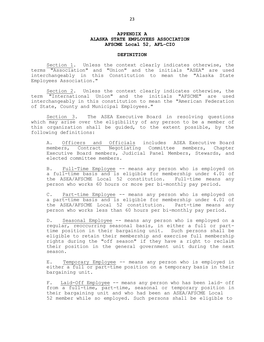#### **APPENDIX A ALASKA STATE EMPLOYEES ASSOCIATION AFSCME Local 52, AFL-CIO**

#### **DEFINITION**

Section 1. Unless the context clearly indicates otherwise, the terms "Association" and "Union" and the initials "ASEA" are used interchangeably in this Constitution to mean the "Alaska State Employees Association."

Section 2. Unless the context clearly indicates otherwise, the term "International Union" and the initials "AFSCME" are used interchangeably in this constitution to mean the "American Federation of State, County and Municipal Employees."

Section 3. The ASEA Executive Board in resolving questions which may arise over the eligibility of any person to be a member of this organization shall be guided, to the extent possible, by the following definitions:

A. Officers and Officials includes ASEA Executive Board members, Contract Negotiating Committee members, Chapter Executive Board members, Judicial Panel Members, Stewards, and elected committee members.

B. Full-Time Employee -- means any person who is employed on a full-time basis and is eligible for membership under 4.01 of the ASEA/AFSCME Local 52 constitution. Full-time means any person who works 60 hours or more per bi-monthly pay period.

C. Part-time Employee -- means any person who is employed on a part-time basis and is eligible for membership under 4.01 of the ASEA/AFSCME Local 52 constitution. Part-time means any person who works less than 60 hours per bi-monthly pay period.

D. Seasonal Employee -- means any person who is employed on a regular, reoccurring seasonal basis, in either a full or parttime position in their bargaining unit. Such persons shall be eligible to retain their membership and exercise full membership rights during the "off season" if they have a right to reclaim their position in the general government unit during the next season.

E. Temporary Employee -- means any person who is employed in either a full or part-time position on a temporary basis in their bargaining unit.

F. Laid-Off Employee -- means any person who has been laid- off from a full-time, part-time, seasonal or temporary position in their bargaining unit and who had been an ASEA/AFSCME Local 52 member while so employed. Such persons shall be eligible to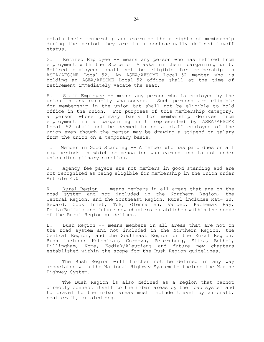retain their membership and exercise their rights of membership during the period they are in a contractually defined layoff status.

G. Retired Employee -- means any person who has retired from employment with the State of Alaska in their bargaining unit. Retired employees shall not be eligible for membership in ASEA/AFSCME Local 52. An ASEA/AFSCME Local 52 member who is holding an ASEA/AFSCME Local 52 office shall at the time of retirement immediately vacate the seat.

H. Staff Employee -- means any person who is employed by the union in any capacity whatsoever. Such persons are eligible for membership in the union but shall not be eligible to hold office in the union. For purposes of this membership category, a person whose primary basis for membership derives from employment in a bargaining unit represented by ASEA/AFSCME Local 52 shall not be deemed to be a staff employee of the union even though the person may be drawing a stipend or salary from the union on a temporary basis.

I. Member in Good Standing -- A member who has paid dues on all pay periods in which compensation was earned and is not under union disciplinary sanction.

J. Agency fee payers are not members in good standing and are not recognized as being eligible for membership in the Union under Article 4.01.

K. Rural Region -- means members in all areas that are on the road system and not included in the Northern Region, the Central Region, and the Southeast Region. Rural includes Mat- Su, Seward, Cook Inlet, Tok, Glennallen, Valdez, Kachemak Bay, Delta/Buffalo and future new chapters established within the scope of the Rural Region guidelines.

L. Bush Region -- means members in all areas that are not on the road system and not included in the Northern Region, the Central Region, and the Southeast Region or the Rural Region. Bush includes Ketchikan, Cordova, Petersburg, Sitka, Bethel, Dillingham, Nome, Kodiak/Aleutians and future new chapters established within the scope for the Bush Region guidelines.

The Bush Region will further not be defined in any way associated with the National Highway System to include the Marine Highway System.

The Bush Region is also defined as a region that cannot directly connect itself to the urban areas by the road system and to travel to the urban areas must include travel by aircraft, boat craft, or sled dog.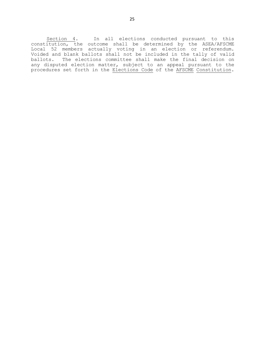Section 4. In all elections conducted pursuant to this constitution, the outcome shall be determined by the ASEA/AFSCME Local 52 members actually voting in an election or referendum. Voided and blank ballots shall not be included in the tally of valid ballots. The elections committee shall make the final decision on any disputed election matter, subject to an appeal pursuant to the procedures set forth in the Elections Code of the AFSCME Constitution.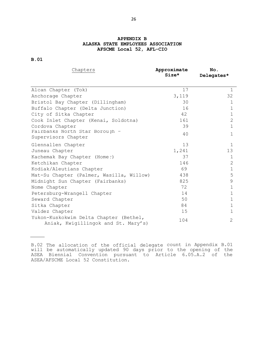### **APPENDIX B ALASKA STATE EMPLOYEES ASSOCIATION AFSCME Local 52, AFL-CIO**

**B.01**

| Chapters                                                                      | Approximate<br>$Size*$ | No.<br>Delegates* |
|-------------------------------------------------------------------------------|------------------------|-------------------|
|                                                                               |                        |                   |
| Alcan Chapter (Tok)                                                           | 17                     | $\mathbf 1$       |
| Anchorage Chapter                                                             | 3,119                  | 32                |
| Bristol Bay Chapter (Dillingham)                                              | 30                     | 1                 |
| Buffalo Chapter (Delta Junction)                                              | 16                     | $\mathbf{1}$      |
| City of Sitka Chapter                                                         | 42                     | $\mathbf 1$       |
| Cook Inlet Chapter (Kenai, Soldotna)                                          | 161                    | $\overline{2}$    |
| Cordova Chapter                                                               | 39                     | $\mathbf 1$       |
| Fairbanks North Star Boroujh -<br>Supervisors Chapter                         | 40                     | $\mathbf 1$       |
| Glennallen Chapter                                                            | 13                     | $\mathbf 1$       |
| Juneau Chapter                                                                | 1,241                  | 13                |
| Kachemak Bay Chapter (Home:)                                                  | 37                     | $\mathbf 1$       |
| Ketchikan Chapter                                                             | 146                    | $\overline{2}$    |
| Kodiak/Aleutians Chapter                                                      | 69                     | $\mathbf 1$       |
| Mat-Su Chapter (Palmer, Wasilla, Willow)                                      | 438                    | 5                 |
| Midnight Sun Chapter (Fairbanks)                                              | 825                    | $\mathcal{G}$     |
| Nome Chapter                                                                  | 72                     | 1                 |
| Petersburg-Wrangell Chapter                                                   | 14                     | 1                 |
| Seward Chapter                                                                | 50                     | $\mathbf 1$       |
| Sitka Chapter                                                                 | 84                     | $\mathbf 1$       |
| Valdez Chapter                                                                | 15                     | $\mathbf 1$       |
| Yukon-Kuskokwim Delta Chapter (Bethel,<br>Aniak, Kwigillingok and St. Mary's) | 104                    | $\overline{2}$    |

B.02 The allocation of the official delegate count in Appendix B.01 will be automatically updated 90 days prior to the opening of the ASEA Biennial Convention pursuant to Article 6.05.A.2 of the ASEA/AFSCME Local 52 Constitution.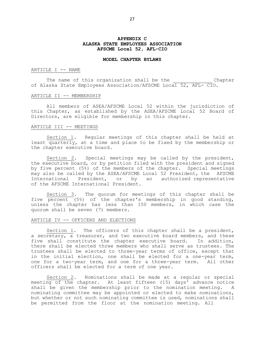#### **APPENDIX C ALASKA STATE EMPLOYEES ASSOCIATION AFSCME Local 52, AFL-CIO**

#### **MODEL CHAPTER BYLAWS**

#### ARTICLE I -- NAME

The name of this organization shall be the The Chapter of Alaska State Employees Association/AFSCME Local 52, AFL- CIO.

#### ARTICLE II -- MEMBERSHIP

All members of ASEA/AFSCME Local 52 within the jurisdiction of this Chapter, as established by the ASEA/AFSCME Local 52 Board of Directors, are eligible for membership in this chapter.

#### ARTICLE III -- MEETINGS

Section 1. Regular meetings of this chapter shall be held at least quarterly, at a time and place to be fixed by the membership or the chapter executive board.

Section 2. Special meetings may be called by the president, the executive board, or by petition filed with the president and signed by five percent (5%) of the members of the chapter. Special meetings may also be called by the ASEA/AFSCME Local 52 President, the AFSCME International President, or by an authorized representative of the AFSCME International President.

Section 3. The quorum for meetings of this chapter shall be five percent (5%) of the chapter's membership in good standing, unless the chapter has less than 150 members, in which case the quorum shall be seven (7) members.

#### ARTICLE IV -- OFFICERS AND ELECTIONS

Section 1. The officers of this chapter shall be a president, a secretary, a treasurer, and two executive board members, and these five shall constitute the chapter executive board. In addition, there shall be elected three members who shall serve as trustees. The trustees shall be elected to three-year terms of office, except that in the initial election, one shall be elected for a one-year term, one for a two-year term, and one for a three-year term. All other officers shall be elected for a term of one year.

Section 2. Nominations shall be made at a regular or special meeting of the chapter. At least fifteen (15) days' advance notice shall be given the membership prior to the nomination meeting. A nominating committee may be appointed or elected to make nominations, but whether or not such nominating committee is used, nominations shall be permitted from the floor at the nomination meeting. All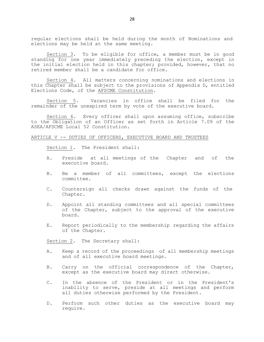regular elections shall be held during the month of Nominations and elections may be held at the same meeting.

Section 3. To be eligible for office, a member must be in good standing for one year immediately preceding the election, except in the initial election held in this chapter; provided, however, that no retired member shall be a candidate for office.

Section 4. All matters concerning nominations and elections in this Chapter shall be subject to the provisions of Appendix D, entitled Elections Code, of the AFSCME Constitution.

Section 5. Vacancies in office shall be filed for the remainder of the unexpired term by vote of the executive board.

Section 6. Every officer shall upon assuming office, subscribe to the Obligation of an Officer as set forth in Article 7.09 of the ASEA/AFSCME Local 52 Constitution.

#### ARTICLE V -- DUTIES OF OFFICERS, EXECUTIVE BOARD AND TRUSTEES

Section 1. The President shall:

- A. Preside at all meetings of the Chapter and of the executive board.
- B. Be a member of all committees, except the elections committee.
- C. Countersign all checks drawn against the funds of the Chapter.
- D. Appoint all standing committees and all special committees of the Chapter, subject to the approval of the executive board.
- E. Report periodically to the membership regarding the affairs of the Chapter.

Section 2. The Secretary shall:

- A. Keep a record of the proceedings of all membership meetings and of all executive board meetings.
- B. Carry on the official correspondence of the Chapter, except as the executive board may direct otherwise.
- C. In the absence of the President or in the President's inability to serve, preside at all meetings and perform all duties otherwise performed by the President.
- D. Perform such other duties as the executive board may require.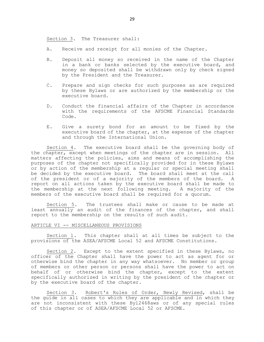Section 3. The Treasurer shall:

- A. Receive and receipt for all monies of the Chapter.
- B. Deposit all money so received in the name of the Chapter in a bank or banks selected by the executive board, and money so deposited shall be withdrawn only by check signed by the President and the Treasurer.
- C. Prepare and sign checks for such purposes as are required by these Bylaws or are authorized by the membership or the executive board.
- D. Conduct the financial affairs of the Chapter in accordance with the requirements of the AFSCME Financial Standards Code.
- E. Give a surety bond for an amount to be fixed by the executive board of the chapter, at the expense of the chapter and through the International Union.

Section 4. The executive board shall be the governing body of the chapter, except when meetings of the chapter are in session. All matters affecting the policies, aims and means of accomplishing the purposes of the chapter not specifically provided for in these Bylaws or by action of the membership at a regular or special meeting shall be decided by the executive board. The board shall meet at the call of the president or of a majority of the members of the board. A report on all actions taken by the executive board shall be made to the membership at the next following meeting. A majority of the members of the executive board shall be required for a quorum.

Section 5. The trustees shall make or cause to be made at least annually an audit of the finances of the chapter, and shall report to the membership on the results of such audit.

#### ARTICLE VI -- MISCELLANEOUS PROVISIONS

Section 1. This chapter shall at all times be subject to the provisions of the ASEA/AFSCME Local 52 and AFSCME Constitutions.

Section 2. Except to the extent specified in these Bylaws, no officer of the Chapter shall have the power to act as agent for or otherwise bind the chapter in any way whatsoever. No member or group of members or other person or persons shall have the power to act on behalf of or otherwise bind the chapter, except to the extent specifically authorized in writing by the president of the chapter or by the executive board of the chapter.

Section 3. Robert's Rules of Order, Newly Revised, shall be the guide in all cases to which they are applicable and in which they are not inconsistent with these Byl2468aws or of any special rules of this chapter or of ASEA/AFSCME Local 52 or AFSCME.